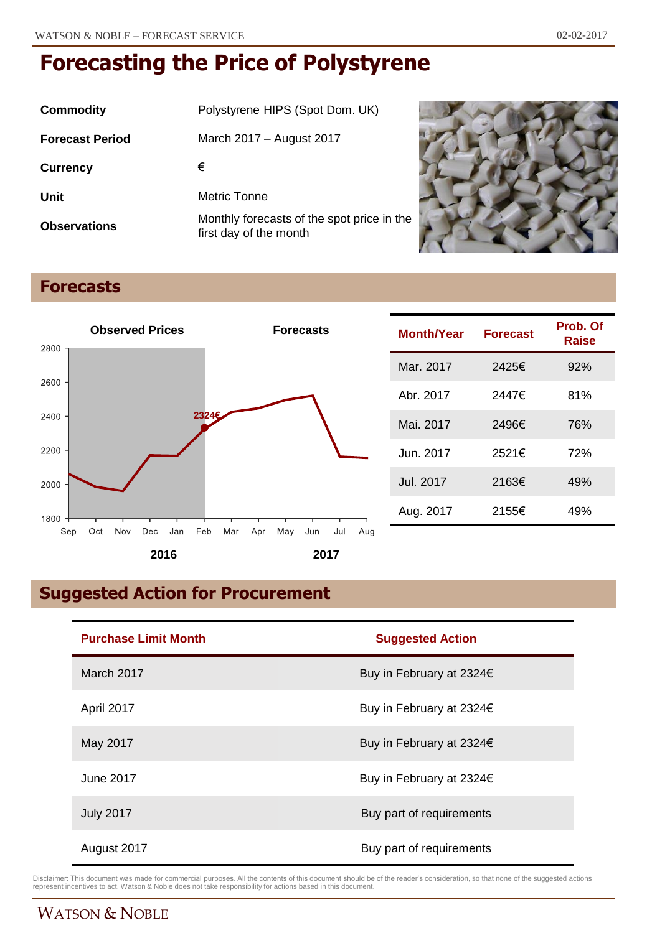| Commodity              | Polystyrene HIPS (Spot Dom. UK)                                      |
|------------------------|----------------------------------------------------------------------|
| <b>Forecast Period</b> | March 2017 – August 2017                                             |
| <b>Currency</b>        | €                                                                    |
| Unit                   | Metric Tonne                                                         |
| <b>Observations</b>    | Monthly forecasts of the spot price in the<br>first day of the month |



## **Forecasts**



| <b>Month/Year</b> | <b>Forecast</b> | Prob. Of<br>Raise |
|-------------------|-----------------|-------------------|
| Mar. 2017         | 2425€           | 92%               |
| Abr. 2017         | 2447€           | 81%               |
| Mai. 2017         | 2496€           | 76%               |
| Jun. 2017         | 2521€           | 72%               |
| Jul. 2017         | 2163€           | 49%               |
| Aug. 2017         | 2155€           | 49%               |

# **Suggested Action for Procurement**

| <b>Purchase Limit Month</b> | <b>Suggested Action</b>  |
|-----------------------------|--------------------------|
| March 2017                  | Buy in February at 2324€ |
| April 2017                  | Buy in February at 2324€ |
| May 2017                    | Buy in February at 2324€ |
| June 2017                   | Buy in February at 2324€ |
| <b>July 2017</b>            | Buy part of requirements |
| August 2017                 | Buy part of requirements |

Disclaimer: This document was made for commercial purposes. All the contents of this document should be of the reader's consideration, so that none of the suggested actions<br>represent incentives to act. Watson & Noble does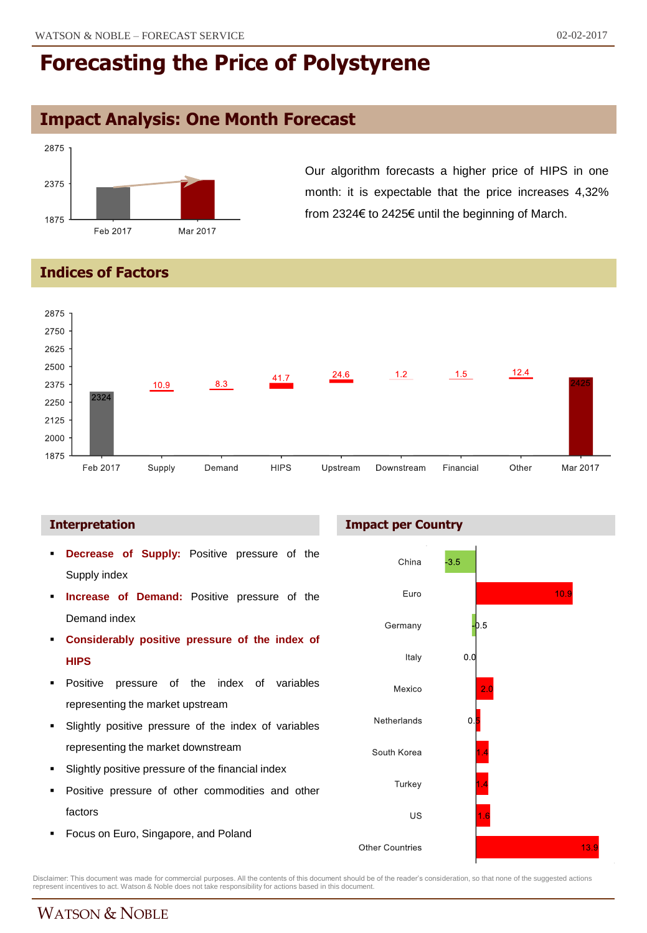## **Impact Analysis: One Month Forecast**



Our algorithm forecasts a higher price of HIPS in one month: it is expectable that the price increases 4,32% from 2324€ to 2425€ until the beginning of March.

### **Indices of Factors**



#### **Interpretation**

- **Decrease of Supply:** Positive pressure of the Supply index
- **Increase of Demand:** Positive pressure of the Demand index
- **Considerably positive pressure of the index of HIPS**
- Positive pressure of the index of variables representing the market upstream
- Slightly positive pressure of the index of variables representing the market downstream
- Slightly positive pressure of the financial index
- Positive pressure of other commodities and other factors
- **Focus on Euro, Singapore, and Poland**





Disclaimer: This document was made for commercial purposes. All the contents of this document should be of the reader's consideration, so that none of the suggested actions<br>represent incentives to act. Watson & Noble does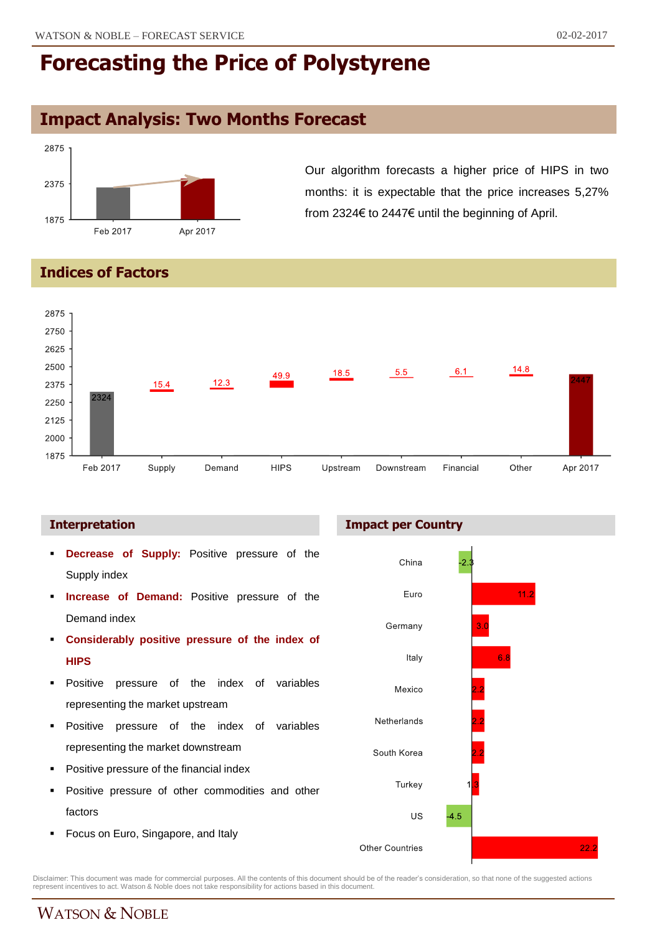## **Impact Analysis: Two Months Forecast**



Our algorithm forecasts a higher price of HIPS in two months: it is expectable that the price increases 5,27% from 2324€ to 2447€ until the beginning of April.

### **Indices of Factors**



- **Decrease of Supply:** Positive pressure of the Supply index
- **Increase of Demand:** Positive pressure of the Demand index
- **Considerably positive pressure of the index of HIPS**
- Positive pressure of the index of variables representing the market upstream
- **Positive pressure of the index of variables** representing the market downstream
- Positive pressure of the financial index
- **Positive pressure of other commodities and other** factors
- **Focus on Euro, Singapore, and Italy**





Disclaimer: This document was made for commercial purposes. All the contents of this document should be of the reader's consideration, so that none of the suggested actions<br>represent incentives to act. Watson & Noble does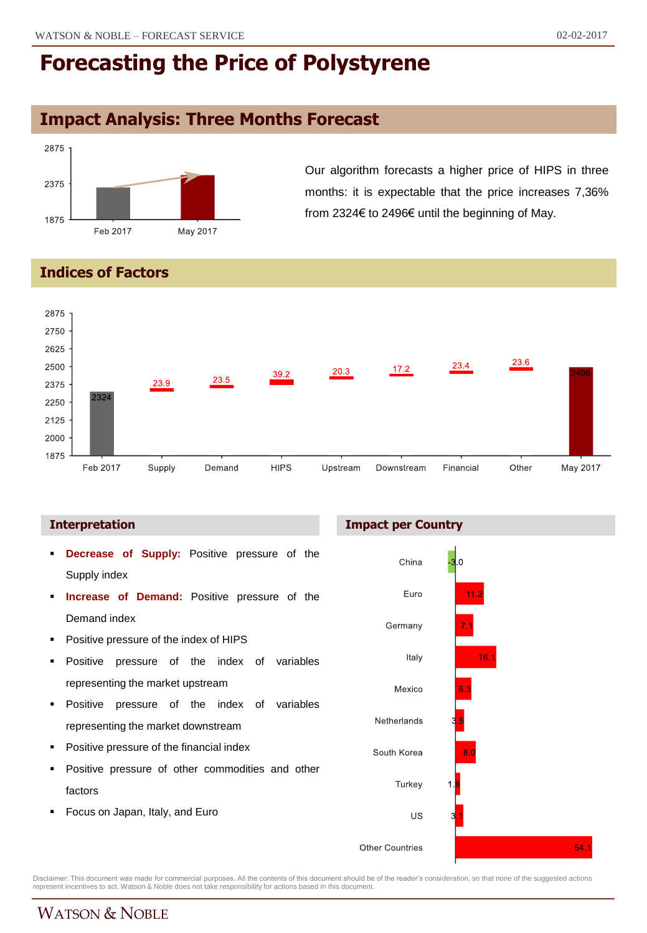## **Impact Analysis: Three Months Forecast**



Our algorithm forecasts a higher price of HIPS in three months: it is expectable that the price increases 7,36% from 2324€ to 2496€ until the beginning of May.

### **Indices of Factors**



- **Decrease of Supply:** Positive pressure of the Supply index
- **Increase of Demand:** Positive pressure of the Demand index
- Positive pressure of the index of HIPS
- Positive pressure of the index of variables representing the market upstream
- **Positive pressure of the index of variables** representing the market downstream
- Positive pressure of the financial index
- Positive pressure of other commodities and other factors
- Focus on Japan, Italy, and Euro

#### **Interpretation Impact per Country**



Disclaimer: This document was made for commercial purposes. All the contents of this document should be of the reader's consideration, so that none of the suggested actions<br>represent incentives to act. Watson & Noble does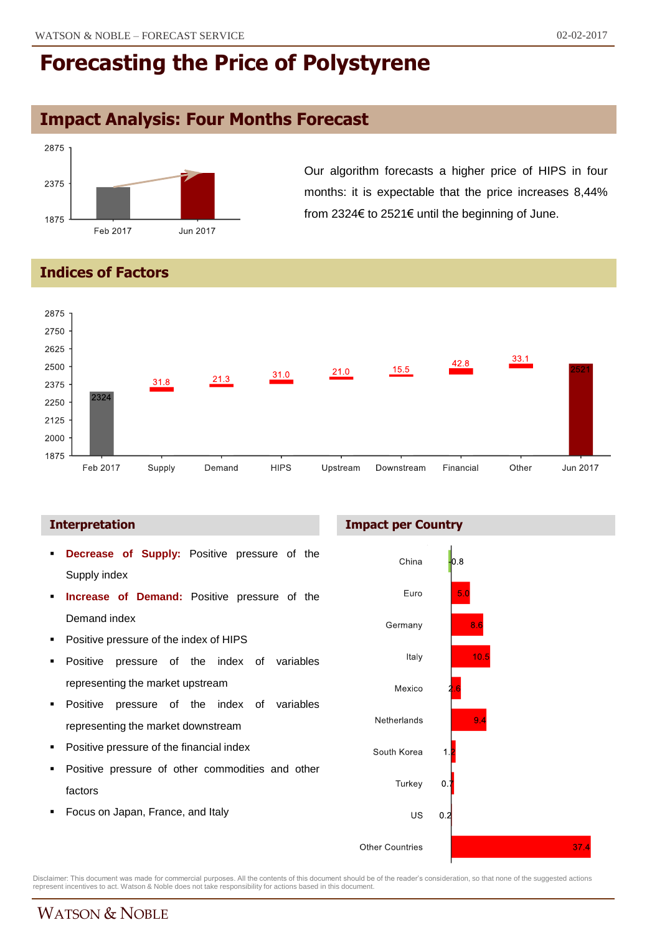# **Impact Analysis: Four Months Forecast**



Our algorithm forecasts a higher price of HIPS in four months: it is expectable that the price increases 8,44% from 2324€ to 2521€ until the beginning of June.

### **Indices of Factors**



- **Decrease of Supply:** Positive pressure of the Supply index
- **Increase of Demand:** Positive pressure of the Demand index
- Positive pressure of the index of HIPS
- Positive pressure of the index of variables representing the market upstream
- **Positive pressure of the index of variables** representing the market downstream
- Positive pressure of the financial index
- Positive pressure of other commodities and other factors
- Focus on Japan, France, and Italy

#### **Interpretation Impact per Country**



Disclaimer: This document was made for commercial purposes. All the contents of this document should be of the reader's consideration, so that none of the suggested actions<br>represent incentives to act. Watson & Noble does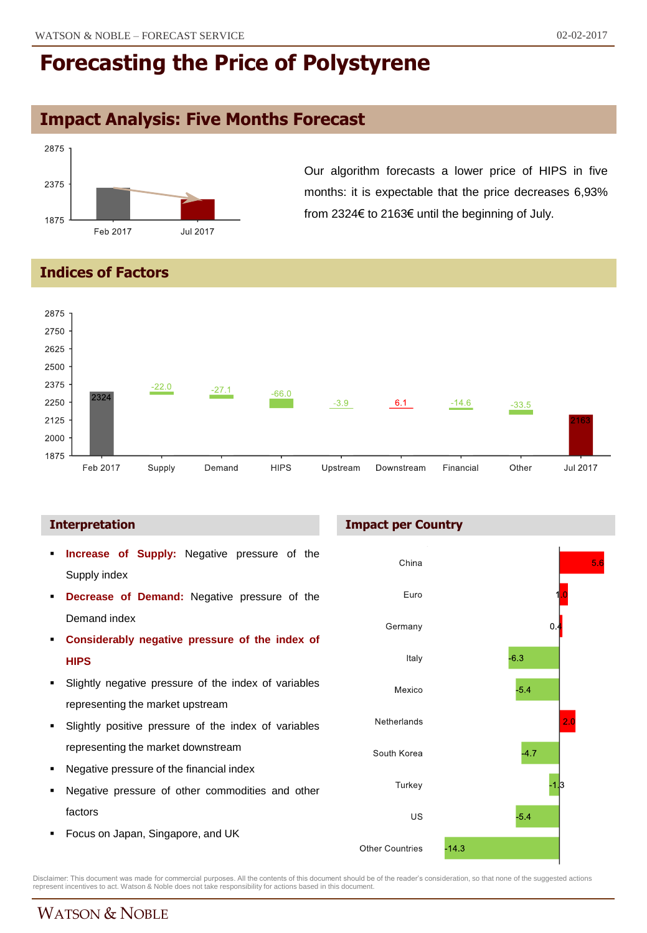## **Impact Analysis: Five Months Forecast**



Our algorithm forecasts a lower price of HIPS in five months: it is expectable that the price decreases 6,93% from 2324€ to 2163€ until the beginning of July.

### **Indices of Factors**



- **Increase of Supply:** Negative pressure of the Supply index
- **Decrease of Demand:** Negative pressure of the Demand index
- **Considerably negative pressure of the index of HIPS**
- Slightly negative pressure of the index of variables representing the market upstream
- Slightly positive pressure of the index of variables representing the market downstream
- Negative pressure of the financial index
- Negative pressure of other commodities and other factors
- **Focus on Japan, Singapore, and UK**

#### **Interpretation Impact per Country**



Disclaimer: This document was made for commercial purposes. All the contents of this document should be of the reader's consideration, so that none of the suggested actions<br>represent incentives to act. Watson & Noble does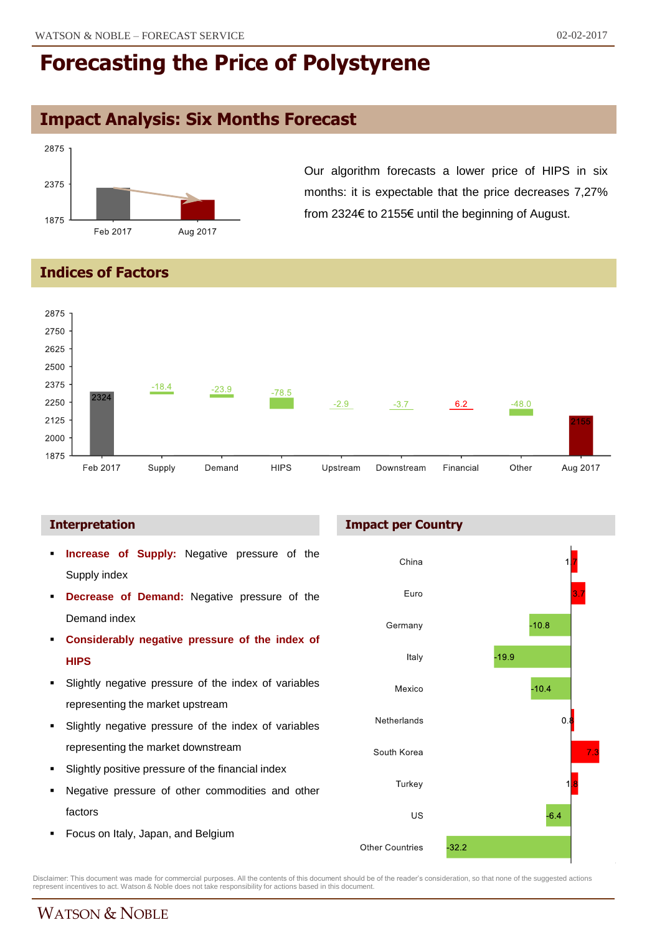# **Impact Analysis: Six Months Forecast**



Our algorithm forecasts a lower price of HIPS in six months: it is expectable that the price decreases 7,27% from 2324€ to 2155€ until the beginning of August.

### **Indices of Factors**



- **Increase of Supply:** Negative pressure of the Supply index
- **Decrease of Demand:** Negative pressure of the Demand index
- **Considerably negative pressure of the index of HIPS**
- Slightly negative pressure of the index of variables representing the market upstream
- Slightly negative pressure of the index of variables representing the market downstream
- Slightly positive pressure of the financial index
- Negative pressure of other commodities and other factors
- **Focus on Italy, Japan, and Belgium**

#### **Interpretation Impact per Country**



Disclaimer: This document was made for commercial purposes. All the contents of this document should be of the reader's consideration, so that none of the suggested actions<br>represent incentives to act. Watson & Noble does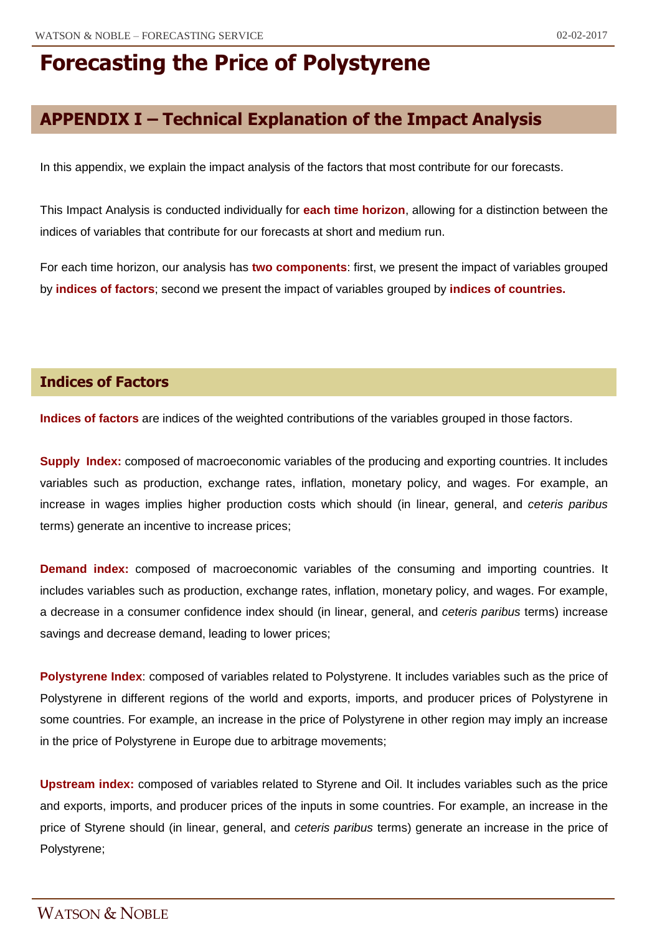## **APPENDIX I – Technical Explanation of the Impact Analysis**

In this appendix, we explain the impact analysis of the factors that most contribute for our forecasts.

This Impact Analysis is conducted individually for **each time horizon**, allowing for a distinction between the indices of variables that contribute for our forecasts at short and medium run.

For each time horizon, our analysis has **two components**: first, we present the impact of variables grouped by **indices of factors**; second we present the impact of variables grouped by **indices of countries.**

### **Indices of Factors**

**Indices of factors** are indices of the weighted contributions of the variables grouped in those factors.

**Supply Index:** composed of macroeconomic variables of the producing and exporting countries. It includes variables such as production, exchange rates, inflation, monetary policy, and wages. For example, an increase in wages implies higher production costs which should (in linear, general, and *ceteris paribus* terms) generate an incentive to increase prices;

**Demand index:** composed of macroeconomic variables of the consuming and importing countries. It includes variables such as production, exchange rates, inflation, monetary policy, and wages. For example, a decrease in a consumer confidence index should (in linear, general, and *ceteris paribus* terms) increase savings and decrease demand, leading to lower prices;

**Polystyrene Index**: composed of variables related to Polystyrene. It includes variables such as the price of Polystyrene in different regions of the world and exports, imports, and producer prices of Polystyrene in some countries. For example, an increase in the price of Polystyrene in other region may imply an increase in the price of Polystyrene in Europe due to arbitrage movements;

**Upstream index:** composed of variables related to Styrene and Oil. It includes variables such as the price and exports, imports, and producer prices of the inputs in some countries. For example, an increase in the price of Styrene should (in linear, general, and *ceteris paribus* terms) generate an increase in the price of Polystyrene;